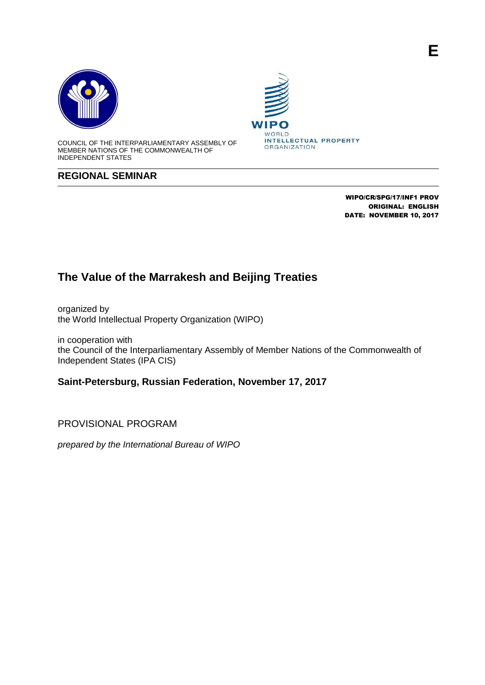



COUNCIL OF THE INTERPARLIAMENTARY ASSEMBLY OF MEMBER NATIONS OF THE COMMONWEALTH OF INDEPENDENT STATES

## **REGIONAL SEMINAR**



WIPO/CR/SPG/17/INF1 PROV ORIGINAL: ENGLISH DATE: NOVEMBER 10, 2017

## **The Value of the Marrakesh and Beijing Treaties**

organized by the World Intellectual Property Organization (WIPO)

in cooperation with the Council of the Interparliamentary Assembly of Member Nations of the Commonwealth of Independent States (IPA CIS)

**Saint-Petersburg, Russian Federation, November 17, 2017**

PROVISIONAL PROGRAM

*prepared by the International Bureau of WIPO*